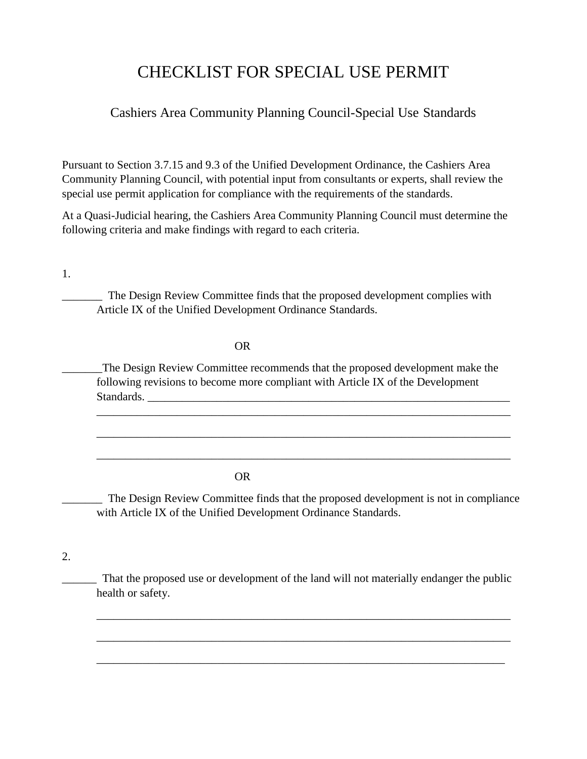# CHECKLIST FOR SPECIAL USE PERMIT

# Cashiers Area Community Planning Council-Special Use Standards

Pursuant to Section 3.7.15 and 9.3 of the Unified Development Ordinance, the Cashiers Area Community Planning Council, with potential input from consultants or experts, shall review the special use permit application for compliance with the requirements of the standards.

At a Quasi-Judicial hearing, the Cashiers Area Community Planning Council must determine the following criteria and make findings with regard to each criteria.

1.

\_\_\_\_\_\_\_ The Design Review Committee finds that the proposed development complies with Article IX of the Unified Development Ordinance Standards.

#### OR

\_\_\_\_\_\_\_The Design Review Committee recommends that the proposed development make the following revisions to become more compliant with Article IX of the Development Standards.

\_\_\_\_\_\_\_\_\_\_\_\_\_\_\_\_\_\_\_\_\_\_\_\_\_\_\_\_\_\_\_\_\_\_\_\_\_\_\_\_\_\_\_\_\_\_\_\_\_\_\_\_\_\_\_\_\_\_\_\_\_\_\_\_\_\_\_\_\_\_\_\_

\_\_\_\_\_\_\_\_\_\_\_\_\_\_\_\_\_\_\_\_\_\_\_\_\_\_\_\_\_\_\_\_\_\_\_\_\_\_\_\_\_\_\_\_\_\_\_\_\_\_\_\_\_\_\_\_\_\_\_\_\_\_\_\_\_\_\_\_\_\_\_\_

\_\_\_\_\_\_\_\_\_\_\_\_\_\_\_\_\_\_\_\_\_\_\_\_\_\_\_\_\_\_\_\_\_\_\_\_\_\_\_\_\_\_\_\_\_\_\_\_\_\_\_\_\_\_\_\_\_\_\_\_\_\_\_\_\_\_\_\_\_\_\_\_

### OR

\_\_\_\_\_\_\_ The Design Review Committee finds that the proposed development is not in compliance with Article IX of the Unified Development Ordinance Standards.

## 2.

\_\_\_\_\_\_ That the proposed use or development of the land will not materially endanger the public health or safety.

\_\_\_\_\_\_\_\_\_\_\_\_\_\_\_\_\_\_\_\_\_\_\_\_\_\_\_\_\_\_\_\_\_\_\_\_\_\_\_\_\_\_\_\_\_\_\_\_\_\_\_\_\_\_\_\_\_\_\_\_\_\_\_\_\_\_\_\_\_\_\_\_

\_\_\_\_\_\_\_\_\_\_\_\_\_\_\_\_\_\_\_\_\_\_\_\_\_\_\_\_\_\_\_\_\_\_\_\_\_\_\_\_\_\_\_\_\_\_\_\_\_\_\_\_\_\_\_\_\_\_\_\_\_\_\_\_\_\_\_\_\_\_\_\_

\_\_\_\_\_\_\_\_\_\_\_\_\_\_\_\_\_\_\_\_\_\_\_\_\_\_\_\_\_\_\_\_\_\_\_\_\_\_\_\_\_\_\_\_\_\_\_\_\_\_\_\_\_\_\_\_\_\_\_\_\_\_\_\_\_\_\_\_\_\_\_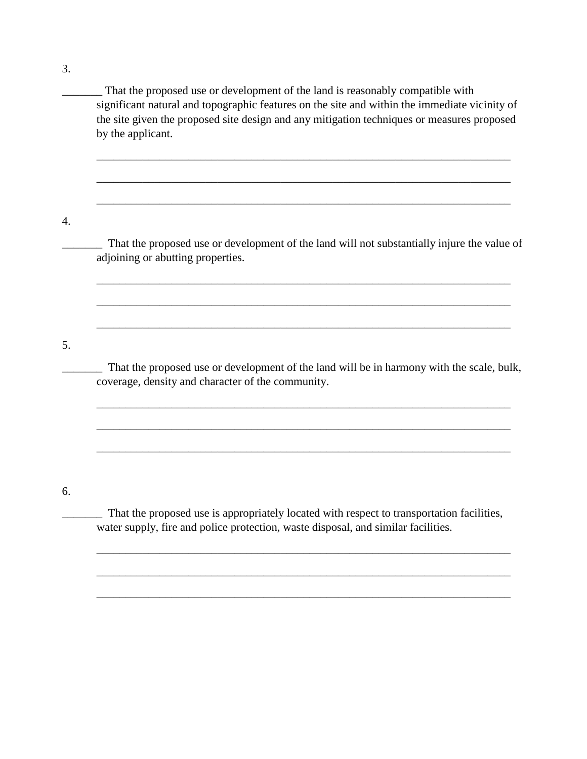3.

\_\_\_\_\_\_\_ That the proposed use or development of the land is reasonably compatible with significant natural and topographic features on the site and within the immediate vicinity of the site given the proposed site design and any mitigation techniques or measures proposed by the applicant.

\_\_\_\_\_\_\_\_\_\_\_\_\_\_\_\_\_\_\_\_\_\_\_\_\_\_\_\_\_\_\_\_\_\_\_\_\_\_\_\_\_\_\_\_\_\_\_\_\_\_\_\_\_\_\_\_\_\_\_\_\_\_\_\_\_\_\_\_\_\_\_\_

\_\_\_\_\_\_\_\_\_\_\_\_\_\_\_\_\_\_\_\_\_\_\_\_\_\_\_\_\_\_\_\_\_\_\_\_\_\_\_\_\_\_\_\_\_\_\_\_\_\_\_\_\_\_\_\_\_\_\_\_\_\_\_\_\_\_\_\_\_\_\_\_

\_\_\_\_\_\_\_\_\_\_\_\_\_\_\_\_\_\_\_\_\_\_\_\_\_\_\_\_\_\_\_\_\_\_\_\_\_\_\_\_\_\_\_\_\_\_\_\_\_\_\_\_\_\_\_\_\_\_\_\_\_\_\_\_\_\_\_\_\_\_\_\_

4.

That the proposed use or development of the land will not substantially injure the value of adjoining or abutting properties.

\_\_\_\_\_\_\_\_\_\_\_\_\_\_\_\_\_\_\_\_\_\_\_\_\_\_\_\_\_\_\_\_\_\_\_\_\_\_\_\_\_\_\_\_\_\_\_\_\_\_\_\_\_\_\_\_\_\_\_\_\_\_\_\_\_\_\_\_\_\_\_\_

\_\_\_\_\_\_\_\_\_\_\_\_\_\_\_\_\_\_\_\_\_\_\_\_\_\_\_\_\_\_\_\_\_\_\_\_\_\_\_\_\_\_\_\_\_\_\_\_\_\_\_\_\_\_\_\_\_\_\_\_\_\_\_\_\_\_\_\_\_\_\_\_

\_\_\_\_\_\_\_\_\_\_\_\_\_\_\_\_\_\_\_\_\_\_\_\_\_\_\_\_\_\_\_\_\_\_\_\_\_\_\_\_\_\_\_\_\_\_\_\_\_\_\_\_\_\_\_\_\_\_\_\_\_\_\_\_\_\_\_\_\_\_\_\_

5.

\_\_\_\_\_\_\_ That the proposed use or development of the land will be in harmony with the scale, bulk, coverage, density and character of the community.

\_\_\_\_\_\_\_\_\_\_\_\_\_\_\_\_\_\_\_\_\_\_\_\_\_\_\_\_\_\_\_\_\_\_\_\_\_\_\_\_\_\_\_\_\_\_\_\_\_\_\_\_\_\_\_\_\_\_\_\_\_\_\_\_\_\_\_\_\_\_\_\_

\_\_\_\_\_\_\_\_\_\_\_\_\_\_\_\_\_\_\_\_\_\_\_\_\_\_\_\_\_\_\_\_\_\_\_\_\_\_\_\_\_\_\_\_\_\_\_\_\_\_\_\_\_\_\_\_\_\_\_\_\_\_\_\_\_\_\_\_\_\_\_\_

\_\_\_\_\_\_\_\_\_\_\_\_\_\_\_\_\_\_\_\_\_\_\_\_\_\_\_\_\_\_\_\_\_\_\_\_\_\_\_\_\_\_\_\_\_\_\_\_\_\_\_\_\_\_\_\_\_\_\_\_\_\_\_\_\_\_\_\_\_\_\_\_

6.

\_\_\_\_\_\_\_ That the proposed use is appropriately located with respect to transportation facilities, water supply, fire and police protection, waste disposal, and similar facilities.

\_\_\_\_\_\_\_\_\_\_\_\_\_\_\_\_\_\_\_\_\_\_\_\_\_\_\_\_\_\_\_\_\_\_\_\_\_\_\_\_\_\_\_\_\_\_\_\_\_\_\_\_\_\_\_\_\_\_\_\_\_\_\_\_\_\_\_\_\_\_\_\_

\_\_\_\_\_\_\_\_\_\_\_\_\_\_\_\_\_\_\_\_\_\_\_\_\_\_\_\_\_\_\_\_\_\_\_\_\_\_\_\_\_\_\_\_\_\_\_\_\_\_\_\_\_\_\_\_\_\_\_\_\_\_\_\_\_\_\_\_\_\_\_\_

\_\_\_\_\_\_\_\_\_\_\_\_\_\_\_\_\_\_\_\_\_\_\_\_\_\_\_\_\_\_\_\_\_\_\_\_\_\_\_\_\_\_\_\_\_\_\_\_\_\_\_\_\_\_\_\_\_\_\_\_\_\_\_\_\_\_\_\_\_\_\_\_